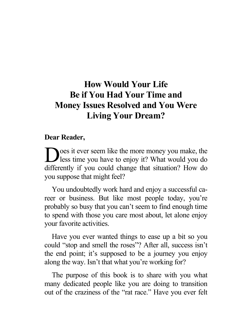#### **How Would Your Life Be if You Had Your Time and Money Issues Resolved and You Were Living Your Dream?**

#### **Dear Reader,**

oes it ever seem like the more money you make, the Des it ever seem like the more money you make, the less time you have to enjoy it? What would you do differently if you could change that situation? How do you suppose that might feel?

You undoubtedly work hard and enjoy a successful career or business. But like most people today, you're probably so busy that you can't seem to find enough time to spend with those you care most about, let alone enjoy your favorite activities.

Have you ever wanted things to ease up a bit so you could "stop and smell the roses"? After all, success isn't the end point; it's supposed to be a journey you enjoy along the way. Isn't that what you're working for?

The purpose of this book is to share with you what many dedicated people like you are doing to transition out of the craziness of the "rat race." Have you ever felt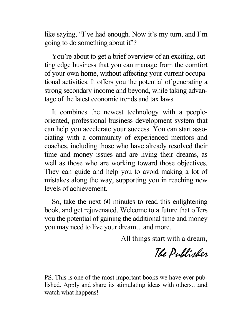like saying, "I've had enough. Now it's my turn, and I'm going to do something about it"?

You're about to get a brief overview of an exciting, cutting edge business that you can manage from the comfort of your own home, without affecting your current occupational activities. It offers you the potential of generating a strong secondary income and beyond, while taking advantage of the latest economic trends and tax laws.

It combines the newest technology with a peopleoriented, professional business development system that can help you accelerate your success. You can start associating with a community of experienced mentors and coaches, including those who have already resolved their time and money issues and are living their dreams, as well as those who are working toward those objectives. They can guide and help you to avoid making a lot of mistakes along the way, supporting you in reaching new levels of achievement.

So, take the next 60 minutes to read this enlightening book, and get rejuvenated. Welcome to a future that offers you the potential of gaining the additional time and money you may need to live your dream…and more.

All things start with a dream,

The Publisher

PS. This is one of the most important books we have ever published. Apply and share its stimulating ideas with others…and watch what happens!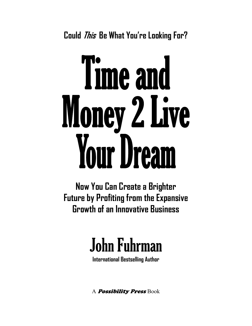**Could This Be What You're Looking For?** 

# Time and Money 2 Live **Your Dream**

**Now You Can Create a Brighter Future by Profiting from the Expansive Growth of an Innovative Business** 

## John Fuhrman

**International Bestselling Author** 

A **Possibility Press** Book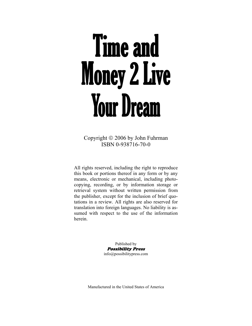## **Time and Money 2 Live Your Dream**

Copyright © 2006 by John Fuhrman ISBN 0-938716-70-0

All rights reserved, including the right to reproduce this book or portions thereof in any form or by any means, electronic or mechanical, including photocopying, recording, or by information storage or retrieval system without written permission from the publisher, except for the inclusion of brief quotations in a review. All rights are also reserved for translation into foreign languages. No liability is assumed with respect to the use of the information herein.

> Published by Possibility Press info@possibilitypress.com

Manufactured in the United States of America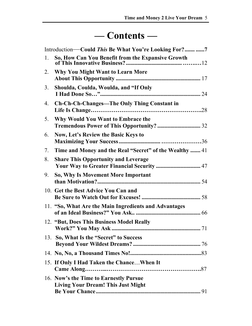#### **— Contents —**

| Introduction—Could This Be What You're Looking For? 7 |                                                                                          |
|-------------------------------------------------------|------------------------------------------------------------------------------------------|
| 1.                                                    | So, How Can You Benefit from the Expansive Growth                                        |
| 2.                                                    | Why You Might Want to Learn More                                                         |
| 3 <sub>1</sub>                                        | Shoulda, Coulda, Woulda, and "If Only                                                    |
| 4.                                                    | <b>Ch-Ch-Ch-Changes—The Only Thing Constant in</b>                                       |
| 5.                                                    | Why Would You Want to Embrace the                                                        |
| 6.                                                    | Now, Let's Review the Basic Keys to                                                      |
| 7.                                                    | Time and Money and the Real "Secret" of the Wealthy  41                                  |
| 8.                                                    | <b>Share This Opportunity and Leverage</b><br>Your Way to Greater Financial Security  47 |
| 9.                                                    | So, Why Is Movement More Important                                                       |
|                                                       | 10. Get the Best Advice You Can and                                                      |
|                                                       | 11. "So, What Are the Main Ingredients and Advantages                                    |
|                                                       | 12. "But, Does This Business Model Really                                                |
| 13.                                                   | So, What Is the "Secret" to Success                                                      |
|                                                       |                                                                                          |
|                                                       | 15. If Only I Had Taken the Chance When It                                               |
|                                                       | 16. Now's the Time to Earnestly Pursue<br><b>Living Your Dream! This Just Might</b>      |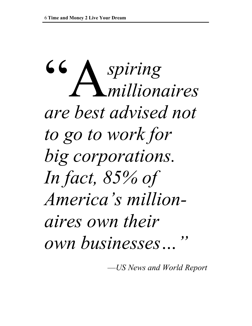66 *spiring millionaires are best advised not to go to work for big corporations. In fact, 85% of America's millionaires own their own businesses…"* 

—*US News and World Report*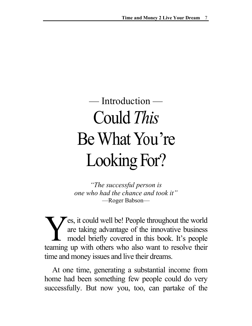### — Introduction — Could *This* Be What You're Looking For?

*"The successful person is one who had the chance and took it"* —Roger Babson—

es, it could well be! People throughout the world are taking advantage of the innovative business model briefly covered in this book. It's people teaming up with others who also want to resolve their time and money issues and live their dreams. Y

 At one time, generating a substantial income from home had been something few people could do very successfully. But now you, too, can partake of the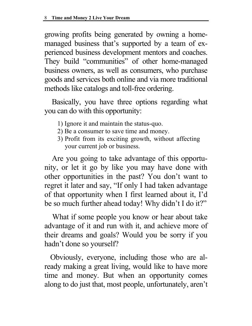growing profits being generated by owning a homemanaged business that's supported by a team of experienced business development mentors and coaches. They build "communities" of other home-managed business owners, as well as consumers, who purchase goods and services both online and via more traditional methods like catalogs and toll-free ordering.

Basically, you have three options regarding what you can do with this opportunity:<br>1) Ignore it and maintain the status-quo.

- 
- 2) Be a consumer to save time and money.
- 3) Profit from its exciting growth, without affecting your current job or business.

 Are you going to take advantage of this opportunity, or let it go by like you may have done with other opportunities in the past? You don't want to regret it later and say, "If only I had taken advantage of that opportunity when I first learned about it, I'd be so much further ahead today! Why didn't I do it?"

 What if some people you know or hear about take advantage of it and run with it, and achieve more of their dreams and goals? Would you be sorry if you hadn't done so yourself?

 Obviously, everyone, including those who are already making a great living, would like to have more time and money. But when an opportunity comes along to do just that, most people, unfortunately, aren't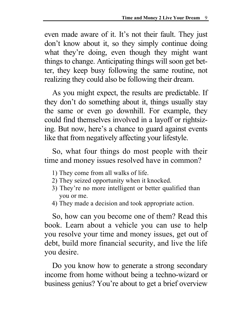even made aware of it. It's not their fault. They just don't know about it, so they simply continue doing what they're doing, even though they might want things to change. Anticipating things will soon get better, they keep busy following the same routine, not realizing they could also be following their dream.

 As you might expect, the results are predictable. If they don't do something about it, things usually stay the same or even go downhill. For example, they could find themselves involved in a layoff or rightsizing. But now, here's a chance to guard against events like that from negatively affecting your lifestyle.

 So, what four things do most people with their time and money issues resolved have in common?

- 1) They come from all walks of life.
- 2) They seized opportunity when it knocked.
- 3) They're no more intelligent or better qualified than you or me.
- 4) They made a decision and took appropriate action.

 So, how can you become one of them? Read this book. Learn about a vehicle you can use to help you resolve your time and money issues, get out of debt, build more financial security, and live the life you desire.

 Do you know how to generate a strong secondary income from home without being a techno-wizard or business genius? You're about to get a brief overview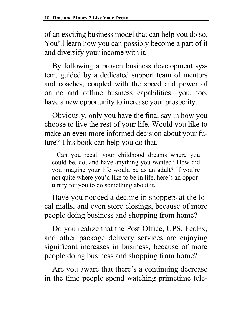of an exciting business model that can help you do so. You'll learn how you can possibly become a part of it and diversify your income with it.

 By following a proven business development system, guided by a dedicated support team of mentors and coaches, coupled with the speed and power of online and offline business capabilities—you, too, have a new opportunity to increase your prosperity.  $\overline{ }$ 

 Obviously, only you have the final say in how you choose to live the rest of your life. Would you like to make an even more informed decision about your future? This book can help you do that.

 Can you recall your childhood dreams where you could be, do, and have anything you wanted? How did you imagine your life would be as an adult? If you're not quite where you'd like to be in life, here's an opportunity for you to do something about it.

 Have you noticed a decline in shoppers at the local malls, and even store closings, because of more people doing business and shopping from home?

 Do you realize that the Post Office, UPS, FedEx, and other package delivery services are enjoying significant increases in business, because of more people doing business and shopping from home?

 Are you aware that there's a continuing decrease in the time people spend watching primetime tele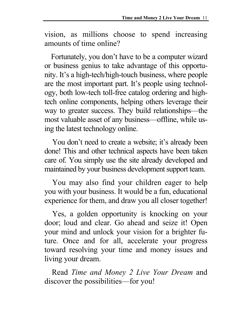vision, as millions choose to spend increasing amounts of time online?

 Fortunately, you don't have to be a computer wizard or business genius to take advantage of this opportunity. It's a high-tech/high-touch business, where people are the most important part. It's people using technology, both low-tech toll-free catalog ordering and hightech online components, helping others leverage their way to greater success. They build relationships—the most valuable asset of any business—offline, while using the latest technology online.

 You don't need to create a website; it's already been done! This and other technical aspects have been taken care of. You simply use the site already developed and maintained by your business development support team.

 You may also find your children eager to help you with your business. It would be a fun, educational experience for them, and draw you all closer together!

 Yes, a golden opportunity is knocking on your door; loud and clear. Go ahead and seize it! Open your mind and unlock your vision for a brighter future. Once and for all, accelerate your progress toward resolving your time and money issues and living your dream.

Read *Time and Money 2 Live Your Dream* and discover the possibilities—for you!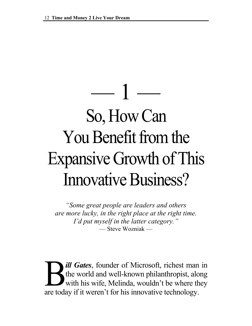## $-1-$ So, How Can You Benefit from the Expansive Growth of This Innovative Business?

*"Some great people are leaders and others are more lucky, in the right place at the right time. I'd put myself in the latter category."*  — Steve Wozniak —

*ill Gates*, founder of Microsoft, richest man in the world and well-known philanthropist, along with his wife, Melinda, wouldn't be where they are today if it weren't for his innovative technology.  $\sum_{\text{wir}}$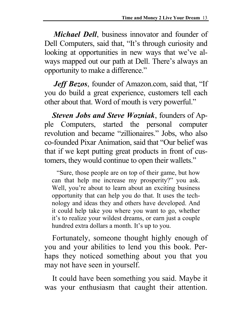*Michael Dell*, business innovator and founder of Dell Computers, said that, "It's through curiosity and looking at opportunities in new ways that we've always mapped out our path at Dell. There's always an opportunity to make a difference."

*Jeff Bezos*, founder of Amazon.com, said that, "If you do build a great experience, customers tell each other about that. Word of mouth is very powerful."

 *Steven Jobs and Steve Wozniak*, founders of Apple Computers, started the personal computer revolution and became "zillionaires." Jobs, who also co-founded Pixar Animation, said that "Our belief was that if we kept putting great products in front of customers, they would continue to open their wallets."

 "Sure, those people are on top of their game, but how can that help me increase my prosperity?" you ask. Well, you're about to learn about an exciting business opportunity that can help you do that. It uses the technology and ideas they and others have developed. And it could help take you where you want to go, whether it's to realize your wildest dreams, or earn just a couple hundred extra dollars a month. It's up to you.

 Fortunately, someone thought highly enough of you and your abilities to lend you this book. Perhaps they noticed something about you that you may not have seen in yourself.

 It could have been something you said. Maybe it was your enthusiasm that caught their attention.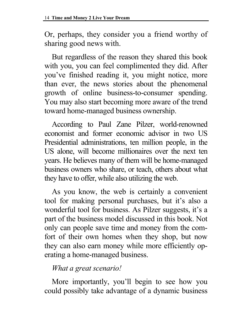Or, perhaps, they consider you a friend worthy of sharing good news with.

But regardless of the reason they shared this book with you, you can feel complimented they did. After you've finished reading it, you might notice, more than ever, the news stories about the phenomenal growth of online business-to-consumer spending. You may also start becoming more aware of the trend toward home-managed business ownership.

According to Paul Zane Pilzer, world-renowned economist and former economic advisor in two US Presidential administrations, ten million people, in the US alone, will become millionaires over the next ten years. He believes many of them will be home-managed business owners who share, or teach, others about what they have to offer, while also utilizing the web.

As you know, the web is certainly a convenient tool for making personal purchases, but it's also a wonderful tool for business. As Pilzer suggests, it's a part of the business model discussed in this book. Not only can people save time and money from the comfort of their own homes when they shop, but now they can also earn money while more efficiently operating a home-managed business.

#### *What a great scenario!*

More importantly, you'll begin to see how you could possibly take advantage of a dynamic business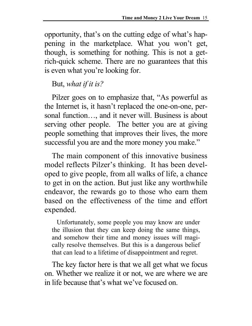opportunity, that's on the cutting edge of what's happening in the marketplace. What you won't get, though, is something for nothing. This is not a getrich-quick scheme. There are no guarantees that this is even what you're looking for.

But, *what if it is?* 

Pilzer goes on to emphasize that, "As powerful as the Internet is, it hasn't replaced the one-on-one, personal function…, and it never will. Business is about serving other people. The better you are at giving people something that improves their lives, the more successful you are and the more money you make."

The main component of this innovative business model reflects Pilzer's thinking. It has been developed to give people, from all walks of life, a chance to get in on the action. But just like any worthwhile endeavor, the rewards go to those who earn them based on the effectiveness of the time and effort expended.

 Unfortunately, some people you may know are under the illusion that they can keep doing the same things, and somehow their time and money issues will magically resolve themselves. But this is a dangerous belief that can lead to a lifetime of disappointment and regret.

The key factor here is that we all get what we focus on. Whether we realize it or not, we are where we are in life because that's what we've focused on.